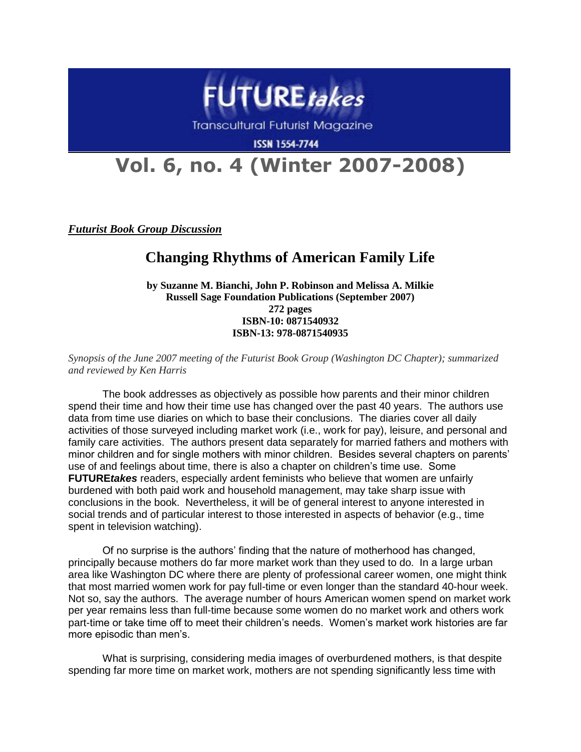

**Transcultural Futurist Magazine** 

**ISSN 1554-7744** 

## **Vol. 6, no. 4 (Winter 2007-2008)**

*Futurist Book Group Discussion*

## **Changing Rhythms of American Family Life**

**by Suzanne M. Bianchi, John P. Robinson and Melissa A. Milkie Russell Sage Foundation Publications (September 2007) 272 pages ISBN-10: 0871540932 ISBN-13: 978-0871540935**

*Synopsis of the June 2007 meeting of the Futurist Book Group (Washington DC Chapter); summarized and reviewed by Ken Harris*

The book addresses as objectively as possible how parents and their minor children spend their time and how their time use has changed over the past 40 years. The authors use data from time use diaries on which to base their conclusions. The diaries cover all daily activities of those surveyed including market work (i.e., work for pay), leisure, and personal and family care activities. The authors present data separately for married fathers and mothers with minor children and for single mothers with minor children. Besides several chapters on parents' use of and feelings about time, there is also a chapter on children's time use. Some **FUTURE***takes* readers, especially ardent feminists who believe that women are unfairly burdened with both paid work and household management, may take sharp issue with conclusions in the book. Nevertheless, it will be of general interest to anyone interested in social trends and of particular interest to those interested in aspects of behavior (e.g., time spent in television watching).

Of no surprise is the authors' finding that the nature of motherhood has changed, principally because mothers do far more market work than they used to do. In a large urban area like Washington DC where there are plenty of professional career women, one might think that most married women work for pay full-time or even longer than the standard 40-hour week. Not so, say the authors. The average number of hours American women spend on market work per year remains less than full-time because some women do no market work and others work part-time or take time off to meet their children's needs. Women's market work histories are far more episodic than men's.

What is surprising, considering media images of overburdened mothers, is that despite spending far more time on market work, mothers are not spending significantly less time with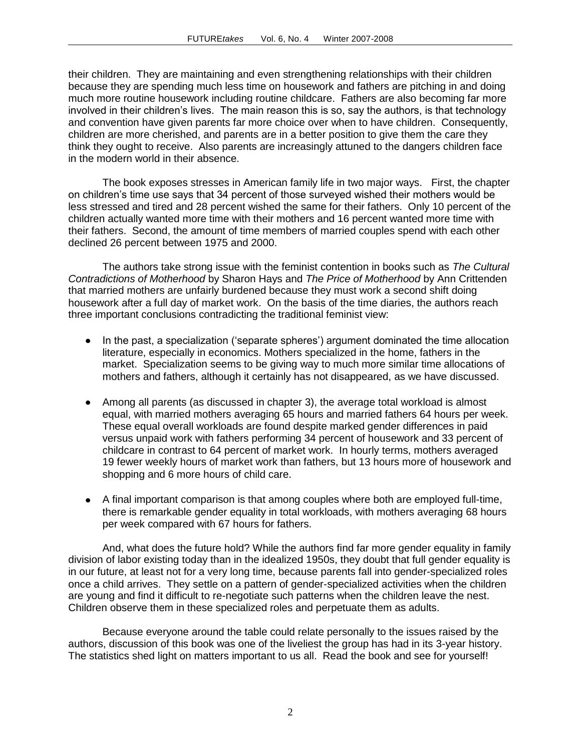their children. They are maintaining and even strengthening relationships with their children because they are spending much less time on housework and fathers are pitching in and doing much more routine housework including routine childcare. Fathers are also becoming far more involved in their children's lives. The main reason this is so, say the authors, is that technology and convention have given parents far more choice over when to have children. Consequently, children are more cherished, and parents are in a better position to give them the care they think they ought to receive. Also parents are increasingly attuned to the dangers children face in the modern world in their absence.

The book exposes stresses in American family life in two major ways. First, the chapter on children's time use says that 34 percent of those surveyed wished their mothers would be less stressed and tired and 28 percent wished the same for their fathers. Only 10 percent of the children actually wanted more time with their mothers and 16 percent wanted more time with their fathers. Second, the amount of time members of married couples spend with each other declined 26 percent between 1975 and 2000.

The authors take strong issue with the feminist contention in books such as *The Cultural Contradictions of Motherhood* by Sharon Hays and *The Price of Motherhood* by Ann Crittenden that married mothers are unfairly burdened because they must work a second shift doing housework after a full day of market work. On the basis of the time diaries, the authors reach three important conclusions contradicting the traditional feminist view:

- In the past, a specialization ('separate spheres') argument dominated the time allocation literature, especially in economics. Mothers specialized in the home, fathers in the market. Specialization seems to be giving way to much more similar time allocations of mothers and fathers, although it certainly has not disappeared, as we have discussed.
- Among all parents (as discussed in chapter 3), the average total workload is almost equal, with married mothers averaging 65 hours and married fathers 64 hours per week. These equal overall workloads are found despite marked gender differences in paid versus unpaid work with fathers performing 34 percent of housework and 33 percent of childcare in contrast to 64 percent of market work. In hourly terms, mothers averaged 19 fewer weekly hours of market work than fathers, but 13 hours more of housework and shopping and 6 more hours of child care.
- A final important comparison is that among couples where both are employed full-time, there is remarkable gender equality in total workloads, with mothers averaging 68 hours per week compared with 67 hours for fathers.

And, what does the future hold? While the authors find far more gender equality in family division of labor existing today than in the idealized 1950s, they doubt that full gender equality is in our future, at least not for a very long time, because parents fall into gender-specialized roles once a child arrives. They settle on a pattern of gender-specialized activities when the children are young and find it difficult to re-negotiate such patterns when the children leave the nest. Children observe them in these specialized roles and perpetuate them as adults.

Because everyone around the table could relate personally to the issues raised by the authors, discussion of this book was one of the liveliest the group has had in its 3-year history. The statistics shed light on matters important to us all. Read the book and see for yourself!